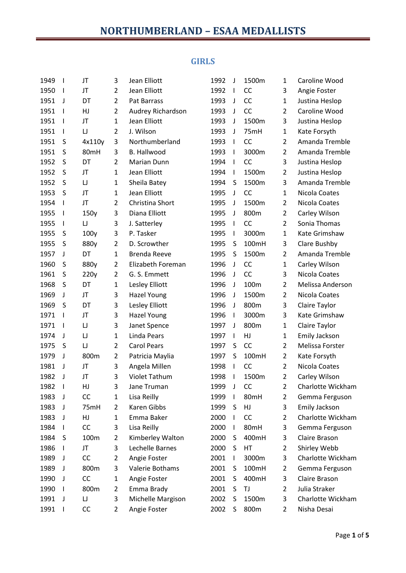### **GIRLS**

| 1949 | $\overline{\phantom{a}}$ | JT       | 3              | Jean Elliott         | 1992 | J            | 1500m     | 1              | Caroline Wood        |
|------|--------------------------|----------|----------------|----------------------|------|--------------|-----------|----------------|----------------------|
| 1950 | $\mathbf{I}$             | JT       | $\overline{2}$ | <b>Jean Elliott</b>  | 1992 | $\mathsf{I}$ | CC        | 3              | Angie Foster         |
| 1951 | $\mathsf J$              | DT       | $\overline{2}$ | Pat Barrass          | 1993 | J            | CC        | $\mathbf{1}$   | Justina Heslop       |
| 1951 | I                        | HJ       | $\overline{2}$ | Audrey Richardson    | 1993 | J            | CC        | $\overline{2}$ | Caroline Wood        |
| 1951 | $\overline{\phantom{a}}$ | JT       | $\mathbf{1}$   | Jean Elliott         | 1993 | J            | 1500m     | 3              | Justina Heslop       |
| 1951 | $\mathsf{I}$             | $\sqcup$ | $\overline{2}$ | J. Wilson            | 1993 | J            | 75mH      | $\mathbf 1$    | Kate Forsyth         |
| 1951 | S                        | 4x110y   | 3              | Northumberland       | 1993 | $\mathbf{I}$ | CC        | $\overline{2}$ | Amanda Tremble       |
| 1951 | S                        | 80mH     | 3              | <b>B.</b> Hallwood   | 1993 | $\mathbf{I}$ | 3000m     | $\overline{2}$ | Amanda Tremble       |
| 1952 | S                        | DT       | $\overline{2}$ | Marian Dunn          | 1994 | $\mathbf{I}$ | CC        | 3              | Justina Heslop       |
| 1952 | S                        | JT       | $\mathbf{1}$   | Jean Elliott         | 1994 | $\mathbf{I}$ | 1500m     | $\overline{2}$ | Justina Heslop       |
| 1952 | S                        | $\sqcup$ | $\mathbf{1}$   | Sheila Batey         | 1994 | S            | 1500m     | 3              | Amanda Tremble       |
| 1953 | S                        | JT       | $\mathbf{1}$   | <b>Jean Elliott</b>  | 1995 | $\mathsf J$  | CC        | $\mathbf{1}$   | Nicola Coates        |
| 1954 | $\mathsf{I}$             | JT       | $\overline{2}$ | Christina Short      | 1995 | $\mathsf J$  | 1500m     | $\overline{2}$ | Nicola Coates        |
| 1955 | $\mathbf{I}$             | 150y     | 3              | Diana Elliott        | 1995 | $\mathsf J$  | 800m      | $\overline{2}$ | Carley Wilson        |
| 1955 | T                        | IJ       | 3              | J. Satterley         | 1995 | $\mathbf{I}$ | CC        | $\overline{2}$ | Sonia Thomas         |
| 1955 | S                        | 100y     | 3              | P. Tasker            | 1995 | T            | 3000m     | $\mathbf{1}$   | Kate Grimshaw        |
| 1955 | S                        | 880y     | $\overline{2}$ | D. Scrowther         | 1995 | S            | 100mH     | 3              | Clare Bushby         |
| 1957 | J                        | DT       | $\mathbf{1}$   | <b>Brenda Reeve</b>  | 1995 | S            | 1500m     | $\overline{2}$ | Amanda Tremble       |
| 1960 | S                        | 880y     | $\overline{2}$ | Elizabeth Foreman    | 1996 | $\mathsf J$  | CC        | $\mathbf 1$    | Carley Wilson        |
| 1961 | S                        | 220y     | $\overline{2}$ | G. S. Emmett         | 1996 | J            | CC        | 3              | Nicola Coates        |
| 1968 | S                        | DT       | $\mathbf{1}$   | Lesley Elliott       | 1996 | J            | 100m      | $\overline{2}$ | Melissa Anderson     |
| 1969 | J                        | JT       | 3              | <b>Hazel Young</b>   | 1996 | $\mathsf J$  | 1500m     | $\overline{2}$ | Nicola Coates        |
| 1969 | S                        | DT       | 3              | Lesley Elliott       | 1996 | $\mathsf J$  | 800m      | 3              | Claire Taylor        |
| 1971 | T                        | JT       | 3              | Hazel Young          | 1996 | $\mathbf{I}$ | 3000m     | 3              | Kate Grimshaw        |
| 1971 | $\blacksquare$           | $\sqcup$ | 3              | Janet Spence         | 1997 | J            | 800m      | $\mathbf{1}$   | Claire Taylor        |
| 1974 | J                        | $\sqcup$ | $\mathbf{1}$   | <b>Linda Pears</b>   | 1997 | $\mathsf{I}$ | HJ        | $\mathbf{1}$   | <b>Emily Jackson</b> |
| 1975 | S                        | $\sqcup$ | $\overline{2}$ | <b>Carol Pears</b>   | 1997 | S            | CC        | $\overline{2}$ | Melissa Forster      |
| 1979 | J                        | 800m     | $\overline{2}$ | Patricia Maylia      | 1997 | S            | 100mH     | $\overline{2}$ | Kate Forsyth         |
| 1981 | J                        | JT       | 3              | Angela Millen        | 1998 | $\mathbf{I}$ | CC        | $\overline{2}$ | Nicola Coates        |
| 1982 | J                        | JT       | 3              | <b>Violet Tathum</b> | 1998 | $\mathbf{I}$ | 1500m     | $\overline{2}$ | Carley Wilson        |
| 1982 | - 1                      | HJ       | 3              | Jane Truman          | 1999 | J            | <b>CC</b> | $\overline{2}$ | Charlotte Wickham    |
| 1983 | J                        | CC       | $\mathbf{1}$   | Lisa Reilly          | 1999 | I.           | 80mH      | 2              | Gemma Ferguson       |
| 1983 | J                        | 75mH     | 2              | Karen Gibbs          | 1999 | S            | HJ        | 3              | Emily Jackson        |
| 1983 | J                        | HJ       | $\mathbf{1}$   | Emma Baker           | 2000 | I.           | CC        | $\overline{2}$ | Charlotte Wickham    |
| 1984 | $\mathbf{I}$             | CC       | 3              | Lisa Reilly          | 2000 | I.           | 80mH      | 3              | Gemma Ferguson       |
| 1984 | S                        | 100m     | $\overline{2}$ | Kimberley Walton     | 2000 | S            | 400mH     | 3              | Claire Brason        |
| 1986 | I                        | JT       | 3              | Lechelle Barnes      | 2000 | S            | HT        | $\overline{2}$ | Shirley Webb         |
| 1989 | J                        | CC       | $\overline{2}$ | Angie Foster         | 2001 | T            | 3000m     | 3              | Charlotte Wickham    |
| 1989 | J                        | 800m     | 3              | Valerie Bothams      | 2001 | S            | 100mH     | $\overline{2}$ | Gemma Ferguson       |
| 1990 | J                        | CC       | $\mathbf{1}$   | Angie Foster         | 2001 | S            | 400mH     | 3              | Claire Brason        |
| 1990 | I                        | 800m     | $\overline{2}$ | Emma Brady           | 2001 | S            | TJ        | $\overline{2}$ | Julia Straker        |
| 1991 | J                        | IJ       | 3              | Michelle Margison    | 2002 | S            | 1500m     | 3              | Charlotte Wickham    |
| 1991 | J.                       | CC       | 2              | Angie Foster         | 2002 | S            | 800m      | $\overline{2}$ | Nisha Desai          |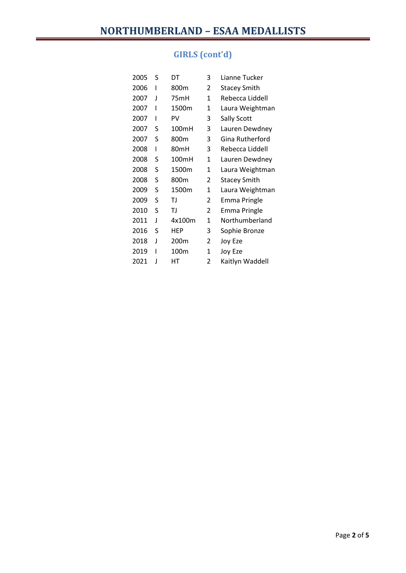# **GIRLS (cont'd)**

| 2005 | S | DT               | 3 | Lianne Tucker       |
|------|---|------------------|---|---------------------|
| 2006 | ı | 800m             | 2 | <b>Stacey Smith</b> |
| 2007 | J | 75mH             | 1 | Rebecca Liddell     |
| 2007 | I | 1500m            | 1 | Laura Weightman     |
| 2007 | ı | PV               | 3 | Sally Scott         |
| 2007 | S | 100mH            | 3 | Lauren Dewdney      |
| 2007 | S | 800m             | 3 | Gina Rutherford     |
| 2008 | I | 80 <sub>mH</sub> | 3 | Rebecca Liddell     |
| 2008 | S | 100mH            | 1 | Lauren Dewdney      |
| 2008 | S | 1500m            | 1 | Laura Weightman     |
| 2008 | S | 800m             | 2 | <b>Stacey Smith</b> |
| 2009 | S | 1500m            | 1 | Laura Weightman     |
| 2009 | S | TJ               | 2 | Emma Pringle        |
| 2010 | S | TJ               | 2 | Emma Pringle        |
| 2011 | J | 4x100m           | 1 | Northumberland      |
| 2016 | S | HEP              | 3 | Sophie Bronze       |
| 2018 | J | 200m             | 2 | Joy Eze             |
| 2019 | I | 100m             | 1 | Joy Eze             |
| 2021 | J | HТ               | 2 | Kaitlyn Waddell     |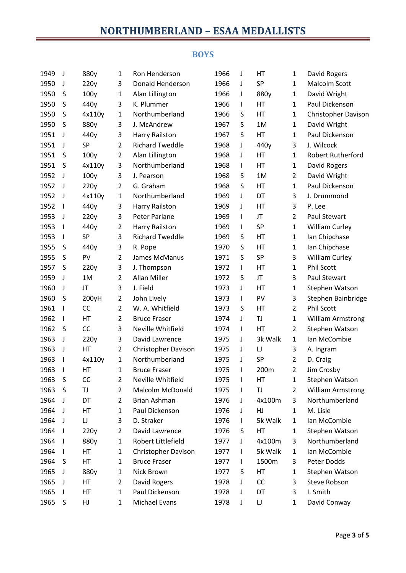### **BOYS**

| 1949 | J            | 880y   | $\mathbf{1}$   | Ron Henderson              | 1966 | J            | HT      | $\mathbf{1}$   | David Rogers               |
|------|--------------|--------|----------------|----------------------------|------|--------------|---------|----------------|----------------------------|
| 1950 | J            | 220y   | 3              | Donald Henderson           | 1966 | J            | SP      | $\mathbf{1}$   | Malcolm Scott              |
| 1950 | S            | 100y   | 1              | Alan Lillington            | 1966 | $\mathsf{l}$ | 880y    | $\mathbf{1}$   | David Wright               |
| 1950 | S            | 440y   | 3              | K. Plummer                 | 1966 | $\mathbf{I}$ | HT      | $\mathbf{1}$   | Paul Dickenson             |
| 1950 | S            | 4x110y | $\mathbf 1$    | Northumberland             | 1966 | S            | HT      | $\mathbf{1}$   | <b>Christopher Davison</b> |
| 1950 | S            | 880y   | 3              | J. McAndrew                | 1967 | S            | 1M      | $\mathbf{1}$   | David Wright               |
| 1951 | J            | 440y   | 3              | Harry Railston             | 1967 | S            | HT      | $\mathbf{1}$   | Paul Dickenson             |
| 1951 | J            | SP     | $\overline{2}$ | <b>Richard Tweddle</b>     | 1968 | J            | 440y    | 3              | J. Wilcock                 |
| 1951 | S            | 100y   | $\overline{2}$ | Alan Lillington            | 1968 | J            | HT      | $\mathbf{1}$   | <b>Robert Rutherford</b>   |
| 1951 | S            | 4x110y | 3              | Northumberland             | 1968 | $\mathbf{I}$ | HT      | $\mathbf{1}$   | David Rogers               |
| 1952 | J            | 100y   | 3              | J. Pearson                 | 1968 | S            | 1M      | $\overline{2}$ | David Wright               |
| 1952 | J            | 220y   | $\overline{2}$ | G. Graham                  | 1968 | S            | HT      | $\mathbf{1}$   | Paul Dickenson             |
| 1952 | J            | 4x110y | $\mathbf 1$    | Northumberland             | 1969 | J            | DT      | 3              | J. Drummond                |
| 1952 | I            | 440y   | 3              | Harry Railston             | 1969 | J            | HT      | 3              | P. Lee                     |
| 1953 | J            | 220y   | 3              | Peter Parlane              | 1969 | $\mathbf{I}$ | JT      | $\overline{2}$ | Paul Stewart               |
| 1953 | I            | 440y   | $\overline{2}$ | Harry Railston             | 1969 | $\mathsf{I}$ | SP      | $\mathbf{1}$   | <b>William Curley</b>      |
| 1953 | I            | SP     | 3              | <b>Richard Tweddle</b>     | 1969 | S            | HT      | $\mathbf{1}$   | Ian Chipchase              |
| 1955 | S            | 440y   | 3              | R. Pope                    | 1970 | S            | HT      | $\mathbf{1}$   | Ian Chipchase              |
| 1955 | S            | PV     | $\overline{2}$ | James McManus              | 1971 | S            | SP      | 3              | <b>William Curley</b>      |
| 1957 | S            | 220y   | 3              | J. Thompson                | 1972 | $\mathsf{I}$ | HT      | $\mathbf{1}$   | <b>Phil Scott</b>          |
| 1959 | J            | 1M     | $\overline{2}$ | Allan Miller               | 1972 | S            | JT      | 3              | Paul Stewart               |
| 1960 | J            | JT     | 3              | J. Field                   | 1973 | J            | HT      | $\mathbf{1}$   | Stephen Watson             |
| 1960 | S            | 200yH  | $\overline{2}$ | John Lively                | 1973 | $\mathbf{I}$ | PV      | 3              | Stephen Bainbridge         |
| 1961 | I            | CC     | $\overline{2}$ | W. A. Whitfield            | 1973 | S            | HT      | $\overline{2}$ | <b>Phil Scott</b>          |
| 1962 | I            | HT     | $\overline{2}$ | <b>Bruce Fraser</b>        | 1974 | J            | TJ      | $\mathbf{1}$   | <b>William Armstrong</b>   |
| 1962 | S            | CC     | 3              | Neville Whitfield          | 1974 | $\mathbf{I}$ | HT      | $\overline{2}$ | Stephen Watson             |
| 1963 | J            | 220y   | 3              | David Lawrence             | 1975 | J            | 3k Walk | $\mathbf{1}$   | Ian McCombie               |
| 1963 | J            | HT     | $\overline{2}$ | <b>Christopher Davison</b> | 1975 | J            | IJ      | 3              | A. Ingram                  |
| 1963 | I            | 4x110y | $\mathbf 1$    | Northumberland             | 1975 | J            | SP      | $\overline{2}$ | D. Craig                   |
| 1963 | ı            | HT     | 1              | <b>Bruce Fraser</b>        | 1975 | $\mathsf{l}$ | 200m    | $\overline{2}$ | Jim Crosby                 |
| 1963 | S            | CC     | $\overline{2}$ | Neville Whitfield          | 1975 | $\mathsf{l}$ | HT      | $\mathbf{1}$   | Stephen Watson             |
| 1963 | S            | TJ     | $\overline{2}$ | Malcolm McDonald           | 1975 | J.           | TJ      | $\overline{2}$ | <b>William Armstrong</b>   |
| 1964 | J            | DT     | $\overline{2}$ | Brian Ashman               | 1976 | J            | 4x100m  | 3              | Northumberland             |
| 1964 | J            | HT     | 1              | Paul Dickenson             | 1976 | J            | HJ      | $\mathbf{1}$   | M. Lisle                   |
| 1964 | J            | IJ     | 3              | D. Straker                 | 1976 | $\mathbf{I}$ | 5k Walk | 1              | Ian McCombie               |
| 1964 |              | 220y   | $\overline{2}$ | David Lawrence             | 1976 | S            | HT      | $\mathbf{1}$   | Stephen Watson             |
| 1964 | $\mathsf{l}$ | 880y   | $\mathbf{1}$   | Robert Littlefield         | 1977 | J            | 4x100m  | 3              | Northumberland             |
| 1964 | L            | HT     | $\mathbf{1}$   | Christopher Davison        | 1977 | J.           | 5k Walk | $\mathbf{1}$   | Ian McCombie               |
| 1964 | S            | HT     | $\mathbf{1}$   | <b>Bruce Fraser</b>        | 1977 | $\mathbf{I}$ | 1500m   | 3              | Peter Dodds                |
| 1965 | J            | 880y   | 1              | Nick Brown                 | 1977 | S            | HT      | $\mathbf{1}$   | Stephen Watson             |
| 1965 | J            | HT     | $\overline{2}$ | David Rogers               | 1978 | J            | CC      | 3              | Steve Robson               |
| 1965 |              | HT     | $\mathbf{1}$   | Paul Dickenson             | 1978 | J            | DT      | 3              | I. Smith                   |
| 1965 | S            | HJ     | $\mathbf{1}$   | Michael Evans              | 1978 | J            | IJ      | $\mathbf{1}$   | David Conway               |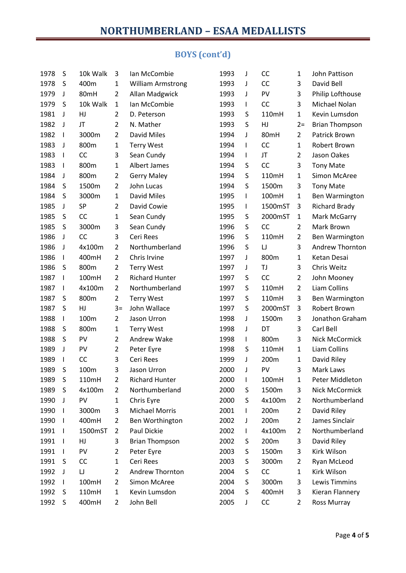# **BOYS (cont'd)**

| 1978 | S            | 10k Walk | 3              | Ian McCombie             | 1993 | J | <b>CC</b> | 1              | John Pattison          |
|------|--------------|----------|----------------|--------------------------|------|---|-----------|----------------|------------------------|
| 1978 | S            | 400m     | $\mathbf{1}$   | <b>William Armstrong</b> | 1993 | J | <b>CC</b> | 3              | David Bell             |
| 1979 | J            | 80mH     | $\overline{2}$ | Allan Madgwick           | 1993 | J | PV        | 3              | Philip Lofthouse       |
| 1979 | S            | 10k Walk | $\mathbf{1}$   | Ian McCombie             | 1993 | L | <b>CC</b> | 3              | Michael Nolan          |
| 1981 | J            | HJ       | $\overline{2}$ | D. Peterson              | 1993 | S | 110mH     | $\mathbf{1}$   | Kevin Lumsdon          |
| 1982 | J            | JT       | $\overline{2}$ | N. Mather                | 1993 | S | HJ        | $2 =$          | <b>Brian Thompson</b>  |
| 1982 | $\mathbf{I}$ | 3000m    | $\overline{2}$ | <b>David Miles</b>       | 1994 | J | 80mH      | $\overline{2}$ | Patrick Brown          |
| 1983 | J            | 800m     | $\mathbf{1}$   | <b>Terry West</b>        | 1994 | L | <b>CC</b> | 1              | Robert Brown           |
| 1983 | $\mathbf{I}$ | CC       | 3              | Sean Cundy               | 1994 | L | JT        | $\overline{2}$ | Jason Oakes            |
| 1983 | $\mathsf{l}$ | 800m     | $\mathbf{1}$   | Albert James             | 1994 | S | CC        | 3              | <b>Tony Mate</b>       |
| 1984 | J            | 800m     | $\overline{2}$ | <b>Gerry Maley</b>       | 1994 | S | 110mH     | $\mathbf{1}$   | Simon McAree           |
| 1984 | S            | 1500m    | $\overline{2}$ | John Lucas               | 1994 | S | 1500m     | 3              | <b>Tony Mate</b>       |
| 1984 | S            | 3000m    | $\mathbf{1}$   | <b>David Miles</b>       | 1995 | L | 100mH     | $\mathbf{1}$   | Ben Warmington         |
| 1985 | J            | SP       | $\overline{2}$ | David Cowie              | 1995 | L | 1500mST   | 3              | <b>Richard Brady</b>   |
| 1985 | S            | CC       | $\mathbf{1}$   | Sean Cundy               | 1995 | S | 2000mST   | $\mathbf{1}$   | Mark McGarry           |
| 1985 | S            | 3000m    | 3              | Sean Cundy               | 1996 | S | CC        | $\overline{2}$ | Mark Brown             |
| 1986 | J            | CC       | 3              | Ceri Rees                | 1996 | S | 110mH     | $\overline{2}$ | Ben Warmington         |
| 1986 | J            | 4x100m   | $\overline{2}$ | Northumberland           | 1996 | S | IJ        | 3              | <b>Andrew Thornton</b> |
| 1986 | $\mathbf{I}$ | 400mH    | $\overline{2}$ | Chris Irvine             | 1997 | J | 800m      | $\mathbf{1}$   | Ketan Desai            |
| 1986 | S            | 800m     | $\overline{2}$ | <b>Terry West</b>        | 1997 | J | TJ        | 3              | Chris Weitz            |
| 1987 | $\mathbf{I}$ | 100mH    | $\overline{2}$ | <b>Richard Hunter</b>    | 1997 | S | CC        | $\overline{2}$ | John Mooney            |
| 1987 | $\mathsf{l}$ | 4x100m   | $\overline{2}$ | Northumberland           | 1997 | S | 110mH     | $\overline{2}$ | Liam Collins           |
| 1987 | S            | 800m     | $\overline{2}$ | <b>Terry West</b>        | 1997 | S | 110mH     | 3              | Ben Warmington         |
| 1987 | S            | HJ       | $3=$           | John Wallace             | 1997 | S | 2000mST   | 3              | Robert Brown           |
| 1988 | $\mathbf{I}$ | 100m     | $\overline{2}$ | Jason Urron              | 1998 | J | 1500m     | 3              | Jonathon Graham        |
| 1988 | S            | 800m     | $\mathbf{1}$   | <b>Terry West</b>        | 1998 | J | DT        | 3              | Carl Bell              |
| 1988 | S            | PV       | $\overline{2}$ | Andrew Wake              | 1998 | L | 800m      | 3              | Nick McCormick         |
| 1989 | J            | PV       | $\overline{2}$ | Peter Eyre               | 1998 | S | 110mH     | 1              | Liam Collins           |
| 1989 | $\mathbf{I}$ | CC       | 3              | Ceri Rees                | 1999 | J | 200m      | 1              | David Riley            |
| 1989 | S            | 100m     | 3              | Jason Urron              | 2000 | J | PV        | 3              | Mark Laws              |
| 1989 | $\sf S$      | 110mH    | $\overline{2}$ | <b>Richard Hunter</b>    | 2000 | L | 100mH     | 1              | Peter Middleton        |
| 1989 | S            | 4x100m   | $\overline{2}$ | Northumberland           | 2000 | S | 1500m     | 3              | Nick McCormick         |
| 1990 | J            | PV       | $\mathbf{1}$   | Chris Eyre               | 2000 | S | 4x100m    | $\overline{2}$ | Northumberland         |
| 1990 | I.           | 3000m    | 3              | <b>Michael Morris</b>    | 2001 | L | 200m      | $\overline{2}$ | David Riley            |
| 1990 | $\mathbf{I}$ | 400mH    | 2              | Ben Worthington          | 2002 | J | 200m      | $\overline{2}$ | James Sinclair         |
| 1991 | $\mathbf{I}$ | 1500mST  | $\overline{2}$ | Paul Dickie              | 2002 | L | 4x100m    | $\overline{2}$ | Northumberland         |
| 1991 | J.           | HJ       | 3              | <b>Brian Thompson</b>    | 2002 | S | 200m      | 3              | David Riley            |
| 1991 | I.           | PV       | $\overline{2}$ | Peter Eyre               | 2003 | S | 1500m     | 3              | Kirk Wilson            |
| 1991 | S            | CC       | $\mathbf{1}$   | Ceri Rees                | 2003 | S | 3000m     | $\overline{2}$ | Ryan McLeod            |
| 1992 | J            | $\sqcup$ | $\overline{2}$ | Andrew Thornton          | 2004 | S | CC        | 1              | Kirk Wilson            |
| 1992 | J.           | 100mH    | 2              | Simon McAree             | 2004 | S | 3000m     | 3              | Lewis Timmins          |
| 1992 | S            | 110mH    | $\mathbf{1}$   | Kevin Lumsdon            | 2004 | S | 400mH     | 3              | Kieran Flannery        |
| 1992 | S            | 400mH    | 2              | John Bell                | 2005 | J | CC        | $\overline{2}$ | Ross Murray            |